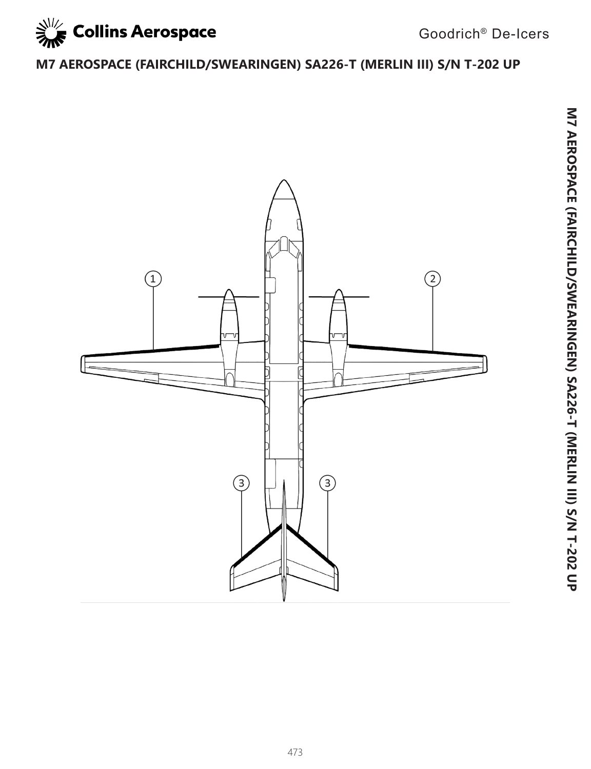

## **M7 AEROSPACE (FAIRCHILD/SWEARINGEN) SA226-T (MERLIN III) S/N T-202 UP**

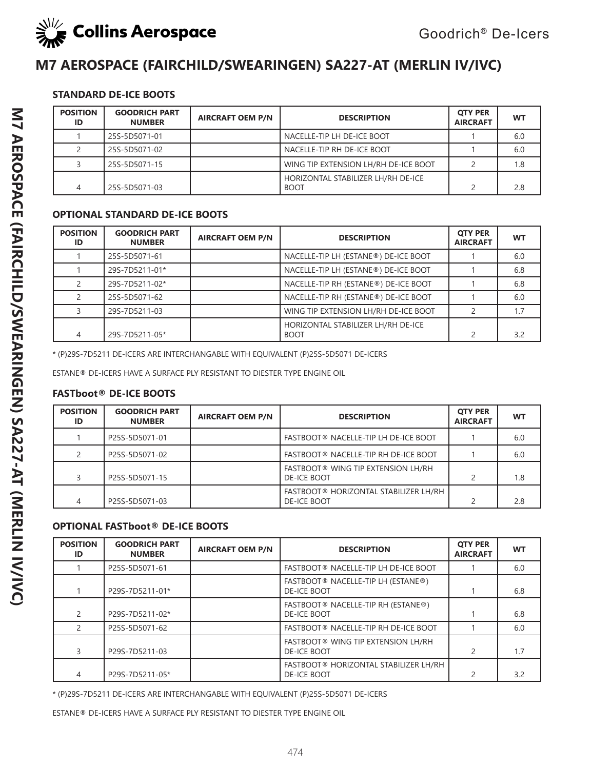

## **M7 AEROSPACE (FAIRCHILD/SWEARINGEN) SA227-AT (MERLIN IV/IVC)**

### **STANDARD DE-ICE BOOTS**

| <b>POSITION</b><br>ID | <b>GOODRICH PART</b><br><b>NUMBER</b> | <b>AIRCRAFT OEM P/N</b> | <b>DESCRIPTION</b>                                | <b>OTY PER</b><br><b>AIRCRAFT</b> | <b>WT</b> |
|-----------------------|---------------------------------------|-------------------------|---------------------------------------------------|-----------------------------------|-----------|
|                       | 25S-5D5071-01                         |                         | NACELLE-TIP LH DE-ICE BOOT                        |                                   | 6.0       |
|                       | 25S-5D5071-02                         |                         | NACELLE-TIP RH DE-ICE BOOT                        |                                   | 6.0       |
|                       | 25S-5D5071-15                         |                         | WING TIP EXTENSION LH/RH DE-ICE BOOT              |                                   | 1.8       |
| 4                     | 25S-5D5071-03                         |                         | HORIZONTAL STABILIZER LH/RH DE-ICE<br><b>BOOT</b> |                                   | 2.8       |

### **OPTIONAL STANDARD DE-ICE BOOTS**

| <b>POSITION</b><br>ID | <b>GOODRICH PART</b><br><b>NUMBER</b> | <b>AIRCRAFT OEM P/N</b> | <b>DESCRIPTION</b>                                | <b>OTY PER</b><br><b>AIRCRAFT</b> | <b>WT</b> |
|-----------------------|---------------------------------------|-------------------------|---------------------------------------------------|-----------------------------------|-----------|
|                       | 25S-5D5071-61                         |                         | NACELLE-TIP LH (ESTANE®) DE-ICE BOOT              |                                   | 6.0       |
|                       | 29S-7D5211-01*                        |                         | NACELLE-TIP LH (ESTANE®) DE-ICE BOOT              |                                   | 6.8       |
|                       | 29S-7D5211-02*                        |                         | NACELLE-TIP RH (ESTANE®) DE-ICE BOOT              |                                   | 6.8       |
|                       | 25S-5D5071-62                         |                         | NACELLE-TIP RH (ESTANE®) DE-ICE BOOT              |                                   | 6.0       |
|                       | 29S-7D5211-03                         |                         | WING TIP EXTENSION LH/RH DE-ICE BOOT              |                                   | 1.7       |
|                       | 29S-7D5211-05*                        |                         | HORIZONTAL STABILIZER LH/RH DE-ICE<br><b>BOOT</b> |                                   | 3.2       |

\* (P)29S-7D5211 DE-ICERS ARE INTERCHANGABLE WITH EQUIVALENT (P)25S-5D5071 DE-ICERS

ESTANE® DE-ICERS HAVE A SURFACE PLY RESISTANT TO DIESTER TYPE ENGINE OIL

#### **FASTboot® DE-ICE BOOTS**

| <b>POSITION</b><br>ID | <b>GOODRICH PART</b><br><b>NUMBER</b> | <b>AIRCRAFT OEM P/N</b> | <b>DESCRIPTION</b>                                              | <b>OTY PER</b><br><b>AIRCRAFT</b> | <b>WT</b> |
|-----------------------|---------------------------------------|-------------------------|-----------------------------------------------------------------|-----------------------------------|-----------|
|                       | P25S-5D5071-01                        |                         | FASTBOOT® NACELLE-TIP LH DE-ICE BOOT                            |                                   | 6.0       |
|                       | P25S-5D5071-02                        |                         | FASTBOOT® NACELLE-TIP RH DE-ICE BOOT                            |                                   | 6.0       |
|                       | P25S-5D5071-15                        |                         | <b>FASTBOOT® WING TIP EXTENSION LH/RH</b><br><b>DE-ICE BOOT</b> |                                   | 1.8       |
|                       | P25S-5D5071-03                        |                         | FASTBOOT® HORIZONTAL STABILIZER LH/RH<br><b>DE-ICE BOOT</b>     |                                   | 2.8       |

### **OPTIONAL FASTboot® DE-ICE BOOTS**

| <b>POSITION</b><br>ID | <b>GOODRICH PART</b><br><b>NUMBER</b> | <b>AIRCRAFT OEM P/N</b> | <b>DESCRIPTION</b>                                           | <b>OTY PER</b><br><b>AIRCRAFT</b> | <b>WT</b> |
|-----------------------|---------------------------------------|-------------------------|--------------------------------------------------------------|-----------------------------------|-----------|
|                       | P25S-5D5071-61                        |                         | FASTBOOT® NACELLE-TIP LH DE-ICE BOOT                         |                                   | 6.0       |
|                       | P29S-7D5211-01*                       |                         | FASTBOOT® NACELLE-TIP LH (ESTANE®)<br><b>DE-ICE BOOT</b>     |                                   | 6.8       |
|                       | P29S-7D5211-02*                       |                         | FASTBOOT® NACELLE-TIP RH (ESTANE®)<br><b>DE-ICE BOOT</b>     |                                   | 6.8       |
|                       | P25S-5D5071-62                        |                         | FASTBOOT® NACELLE-TIP RH DE-ICE BOOT                         |                                   | 6.0       |
|                       | P29S-7D5211-03                        |                         | FASTBOOT® WING TIP EXTENSION LH/RH<br><b>DE-ICE BOOT</b>     | 2                                 | 1.7       |
|                       | P29S-7D5211-05*                       |                         | FASTBOOT ® HORIZONTAL STABILIZER LH/RH<br><b>DE-ICE BOOT</b> |                                   | 3.2       |

\* (P)29S-7D5211 DE-ICERS ARE INTERCHANGABLE WITH EQUIVALENT (P)25S-5D5071 DE-ICERS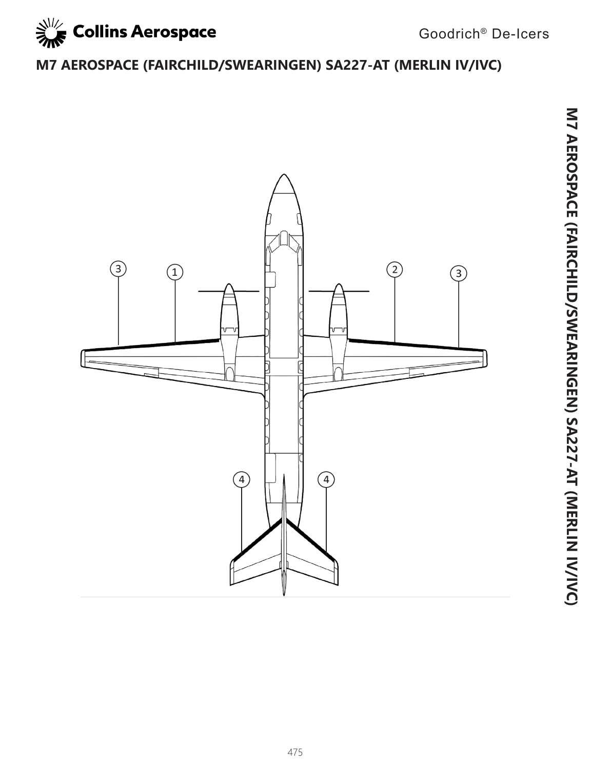

# **M7 AEROSPACE (FAIRCHILD/SWEARINGEN) SA227-AT (MERLIN IV/IVC)**

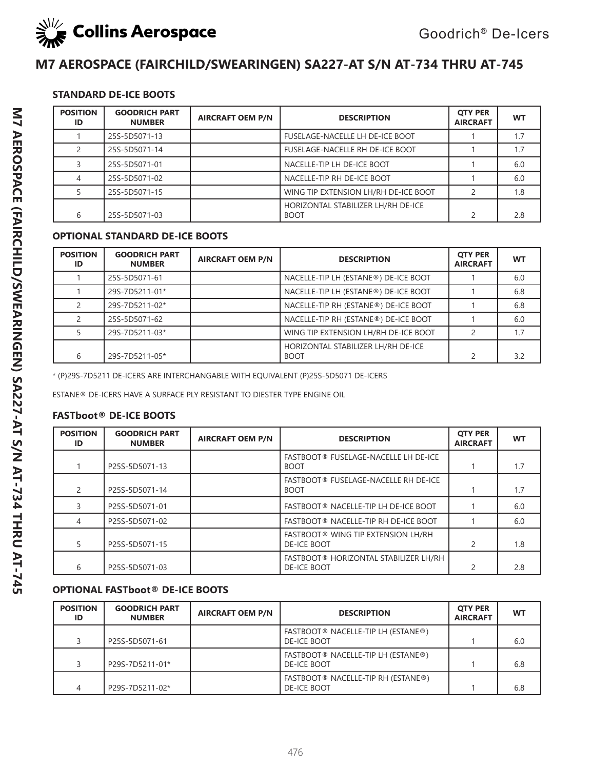

### **M7 AEROSPACE (FAIRCHILD/SWEARINGEN) SA227-AT S/N AT-734 THRU AT-745**

### **STANDARD DE-ICE BOOTS**

| <b>POSITION</b><br>ID | <b>GOODRICH PART</b><br><b>NUMBER</b> | <b>AIRCRAFT OEM P/N</b> | <b>DESCRIPTION</b>                                | <b>OTY PER</b><br><b>AIRCRAFT</b> | <b>WT</b> |
|-----------------------|---------------------------------------|-------------------------|---------------------------------------------------|-----------------------------------|-----------|
|                       | 25S-5D5071-13                         |                         | <b>FUSELAGE-NACELLE LH DE-ICE BOOT</b>            |                                   | 1.7       |
|                       | 25S-5D5071-14                         |                         | <b>FUSELAGE-NACELLE RH DE-ICE BOOT</b>            |                                   | 1.7       |
|                       | 25S-5D5071-01                         |                         | NACELLE-TIP LH DE-ICE BOOT                        |                                   | 6.0       |
|                       | 25S-5D5071-02                         |                         | NACELLE-TIP RH DE-ICE BOOT                        |                                   | 6.0       |
|                       | 25S-5D5071-15                         |                         | WING TIP EXTENSION LH/RH DE-ICE BOOT              | $\overline{2}$                    | 1.8       |
| 6                     | 25S-5D5071-03                         |                         | HORIZONTAL STABILIZER LH/RH DE-ICE<br><b>BOOT</b> | $\mathcal{P}$                     | 2.8       |

### **OPTIONAL STANDARD DE-ICE BOOTS**

| <b>POSITION</b><br>ID | <b>GOODRICH PART</b><br><b>NUMBER</b> | <b>AIRCRAFT OEM P/N</b> | <b>DESCRIPTION</b>                                | <b>QTY PER</b><br><b>AIRCRAFT</b> | <b>WT</b> |
|-----------------------|---------------------------------------|-------------------------|---------------------------------------------------|-----------------------------------|-----------|
|                       | 25S-5D5071-61                         |                         | NACELLE-TIP LH (ESTANE®) DE-ICE BOOT              |                                   | 6.0       |
|                       | 29S-7D5211-01*                        |                         | NACELLE-TIP LH (ESTANE®) DE-ICE BOOT              |                                   | 6.8       |
|                       | 29S-7D5211-02*                        |                         | NACELLE-TIP RH (ESTANE®) DE-ICE BOOT              |                                   | 6.8       |
|                       | 25S-5D5071-62                         |                         | NACELLE-TIP RH (ESTANE®) DE-ICE BOOT              |                                   | 6.0       |
|                       | 29S-7D5211-03*                        |                         | WING TIP EXTENSION LH/RH DE-ICE BOOT              |                                   | 1.7       |
| 6                     | 29S-7D5211-05*                        |                         | HORIZONTAL STABILIZER LH/RH DE-ICE<br><b>BOOT</b> | $\mathcal{D}$                     | 3.2       |

\* (P)29S-7D5211 DE-ICERS ARE INTERCHANGABLE WITH EQUIVALENT (P)25S-5D5071 DE-ICERS

ESTANE® DE-ICERS HAVE A SURFACE PLY RESISTANT TO DIESTER TYPE ENGINE OIL

#### **FASTboot® DE-ICE BOOTS**

| <b>POSITION</b><br>ID | <b>GOODRICH PART</b><br><b>NUMBER</b> | <b>AIRCRAFT OEM P/N</b> | <b>DESCRIPTION</b>                                          | <b>OTY PER</b><br><b>AIRCRAFT</b> | <b>WT</b> |
|-----------------------|---------------------------------------|-------------------------|-------------------------------------------------------------|-----------------------------------|-----------|
|                       | P25S-5D5071-13                        |                         | FASTBOOT® FUSELAGE-NACELLE LH DE-ICE<br><b>BOOT</b>         |                                   | 1.7       |
|                       | P25S-5D5071-14                        |                         | FASTBOOT® FUSELAGE-NACELLE RH DE-ICE<br><b>BOOT</b>         |                                   | 1.7       |
|                       | P25S-5D5071-01                        |                         | FASTBOOT® NACELLE-TIP LH DE-ICE BOOT                        |                                   | 6.0       |
| 4                     | P25S-5D5071-02                        |                         | FASTBOOT® NACELLE-TIP RH DE-ICE BOOT                        |                                   | 6.0       |
| 5                     | P25S-5D5071-15                        |                         | FASTBOOT® WING TIP EXTENSION LH/RH<br><b>DE-ICE BOOT</b>    | $\overline{c}$                    | 1.8       |
| 6                     | P25S-5D5071-03                        |                         | FASTBOOT® HORIZONTAL STABILIZER LH/RH<br><b>DE-ICE BOOT</b> | $\mathcal{P}$                     | 2.8       |

### **OPTIONAL FASTboot® DE-ICE BOOTS**

| <b>POSITION</b><br>ID | <b>GOODRICH PART</b><br><b>NUMBER</b> | <b>AIRCRAFT OEM P/N</b> | <b>DESCRIPTION</b>                                       | <b>OTY PER</b><br><b>AIRCRAFT</b> | <b>WT</b> |
|-----------------------|---------------------------------------|-------------------------|----------------------------------------------------------|-----------------------------------|-----------|
|                       | P25S-5D5071-61                        |                         | FASTBOOT® NACELLE-TIP LH (ESTANE®)<br><b>DE-ICE BOOT</b> |                                   | 6.0       |
|                       | P29S-7D5211-01*                       |                         | FASTBOOT® NACELLE-TIP LH (ESTANE®)<br><b>DE-ICE BOOT</b> |                                   | 6.8       |
|                       | P29S-7D5211-02*                       |                         | FASTBOOT® NACELLE-TIP RH (ESTANE®)<br><b>DE-ICE BOOT</b> |                                   | 6.8       |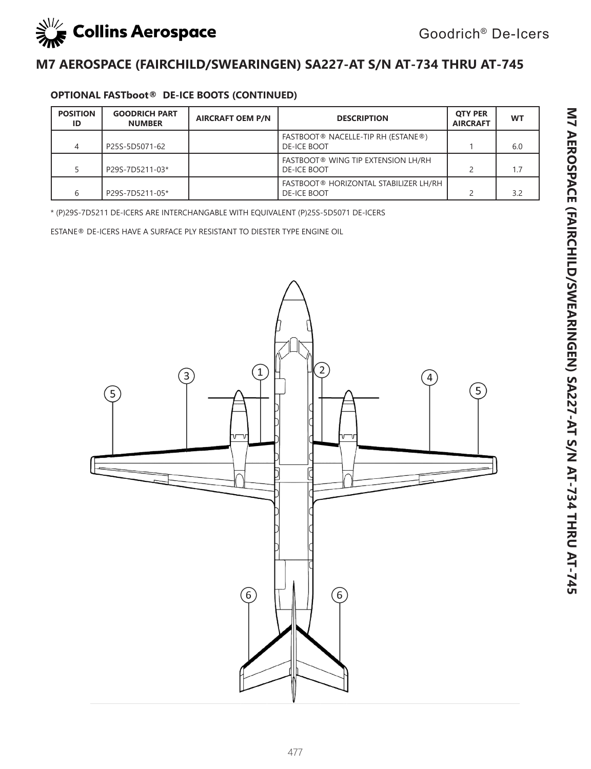

### **M7 AEROSPACE (FAIRCHILD/SWEARINGEN) SA227-AT S/N AT-734 THRU AT-745**

### **OPTIONAL FASTboot® DE-ICE BOOTS (CONTINUED)**

| <b>POSITION</b><br>ID | <b>GOODRICH PART</b><br><b>NUMBER</b> | <b>AIRCRAFT OEM P/N</b> | <b>DESCRIPTION</b>                                                 | <b>OTY PER</b><br><b>AIRCRAFT</b> | <b>WT</b> |
|-----------------------|---------------------------------------|-------------------------|--------------------------------------------------------------------|-----------------------------------|-----------|
| 4                     | P25S-5D5071-62                        |                         | FASTBOOT® NACELLE-TIP RH (ESTANE®)<br><b>DE-ICE BOOT</b>           |                                   | 6.0       |
|                       | P29S-7D5211-03*                       |                         | <b>FASTBOOT® WING TIP EXTENSION LH/RH</b><br><b>DE-ICE BOOT</b>    |                                   | 1.7       |
| 6                     | P29S-7D5211-05*                       |                         | <b>FASTBOOT® HORIZONTAL STABILIZER LH/RH</b><br><b>DE-ICE BOOT</b> |                                   | 3.2       |

\* (P)29S-7D5211 DE-ICERS ARE INTERCHANGABLE WITH EQUIVALENT (P)25S-5D5071 DE-ICERS

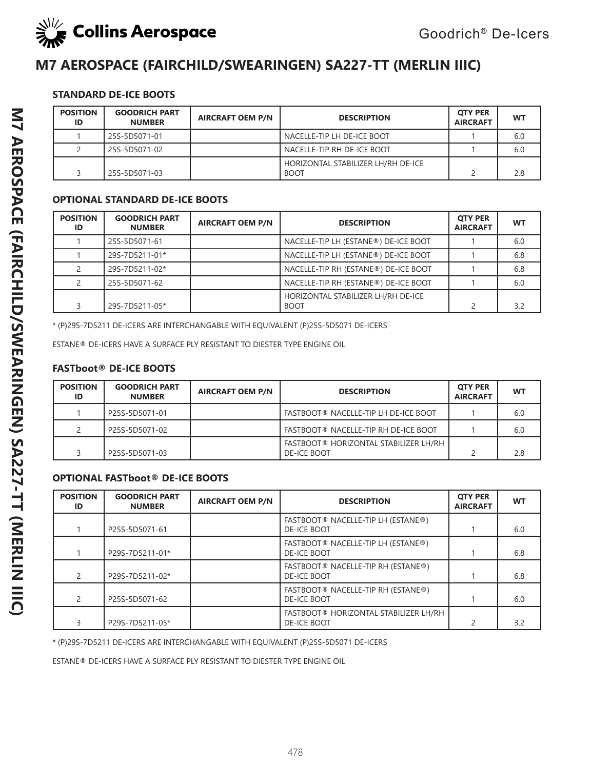

### **M7 AEROSPACE (FAIRCHILD/SWEARINGEN) SA227-TT (MERLIN IIIC)**

#### **STANDARD DE-ICE BOOTS**

| <b>POSITION</b><br>ID | <b>GOODRICH PART</b><br><b>NUMBER</b> | <b>AIRCRAFT OEM P/N</b> | <b>DESCRIPTION</b>                                | <b>OTY PER</b><br><b>AIRCRAFT</b> | <b>WT</b> |
|-----------------------|---------------------------------------|-------------------------|---------------------------------------------------|-----------------------------------|-----------|
|                       | 25S-5D5071-01                         |                         | NACELLE-TIP LH DE-ICE BOOT                        |                                   | 6.0       |
|                       | 25S-5D5071-02                         |                         | NACELLE-TIP RH DE-ICE BOOT                        |                                   | 6.0       |
|                       | 25S-5D5071-03                         |                         | HORIZONTAL STABILIZER LH/RH DE-ICE<br><b>BOOT</b> |                                   | 2.8       |

#### **OPTIONAL STANDARD DE-ICE BOOTS**

| <b>POSITION</b><br>ID | <b>GOODRICH PART</b><br><b>NUMBER</b> | <b>AIRCRAFT OEM P/N</b> | <b>DESCRIPTION</b>                                | <b>OTY PER</b><br><b>AIRCRAFT</b> | WT  |
|-----------------------|---------------------------------------|-------------------------|---------------------------------------------------|-----------------------------------|-----|
|                       | 25S-5D5071-61                         |                         | NACELLE-TIP LH (ESTANE®) DE-ICE BOOT              |                                   | 6.0 |
|                       | 29S-7D5211-01*                        |                         | NACELLE-TIP LH (ESTANE®) DE-ICE BOOT              |                                   | 6.8 |
|                       | 29S-7D5211-02*                        |                         | NACELLE-TIP RH (ESTANE®) DE-ICE BOOT              |                                   | 6.8 |
|                       | 25S-5D5071-62                         |                         | NACELLE-TIP RH (ESTANE®) DE-ICE BOOT              |                                   | 6.0 |
|                       | 29S-7D5211-05*                        |                         | HORIZONTAL STABILIZER LH/RH DE-ICE<br><b>BOOT</b> |                                   | 3.2 |

\* (P)29S-7D5211 DE-ICERS ARE INTERCHANGABLE WITH EQUIVALENT (P)25S-5D5071 DE-ICERS

ESTANE® DE-ICERS HAVE A SURFACE PLY RESISTANT TO DIESTER TYPE ENGINE OIL

### **FASTboot® DE-ICE BOOTS**

| <b>POSITION</b><br>ID | <b>GOODRICH PART</b><br><b>NUMBER</b> | <b>AIRCRAFT OEM P/N</b> | <b>DESCRIPTION</b>                                          | <b>OTY PER</b><br><b>AIRCRAFT</b> | <b>WT</b> |
|-----------------------|---------------------------------------|-------------------------|-------------------------------------------------------------|-----------------------------------|-----------|
|                       | P25S-5D5071-01                        |                         | FASTBOOT® NACELLE-TIP LH DE-ICE BOOT                        |                                   | 6.0       |
|                       | P25S-5D5071-02                        |                         | FASTBOOT® NACELLE-TIP RH DE-ICE BOOT                        |                                   | 6.0       |
|                       | P25S-5D5071-03                        |                         | FASTBOOT® HORIZONTAL STABILIZER LH/RH<br><b>DE-ICE BOOT</b> |                                   | 2.8       |

### **OPTIONAL FASTboot® DE-ICE BOOTS**

| <b>POSITION</b><br>ID | <b>GOODRICH PART</b><br><b>NUMBER</b> | <b>AIRCRAFT OEM P/N</b> | <b>DESCRIPTION</b>                                       | <b>OTY PER</b><br><b>AIRCRAFT</b> | <b>WT</b> |
|-----------------------|---------------------------------------|-------------------------|----------------------------------------------------------|-----------------------------------|-----------|
|                       | P25S-5D5071-61                        |                         | FASTBOOT® NACELLE-TIP LH (ESTANE®)<br><b>DE-ICE BOOT</b> |                                   | 6.0       |
|                       | P29S-7D5211-01*                       |                         | FASTBOOT® NACELLE-TIP LH (ESTANE®)<br><b>DE-ICE BOOT</b> |                                   | 6.8       |
|                       | P29S-7D5211-02*                       |                         | FASTBOOT® NACELLE-TIP RH (ESTANE®)<br><b>DE-ICE BOOT</b> |                                   | 6.8       |
|                       | P25S-5D5071-62                        |                         | FASTBOOT® NACELLE-TIP RH (ESTANE®)<br><b>DE-ICE BOOT</b> |                                   | 6.0       |
|                       | P29S-7D5211-05*                       |                         | FASTBOOT® HORIZONTAL STABILIZER LH/RH<br>DE-ICE BOOT     |                                   | 3.2       |

\* (P)29S-7D5211 DE-ICERS ARE INTERCHANGABLE WITH EQUIVALENT (P)25S-5D5071 DE-ICERS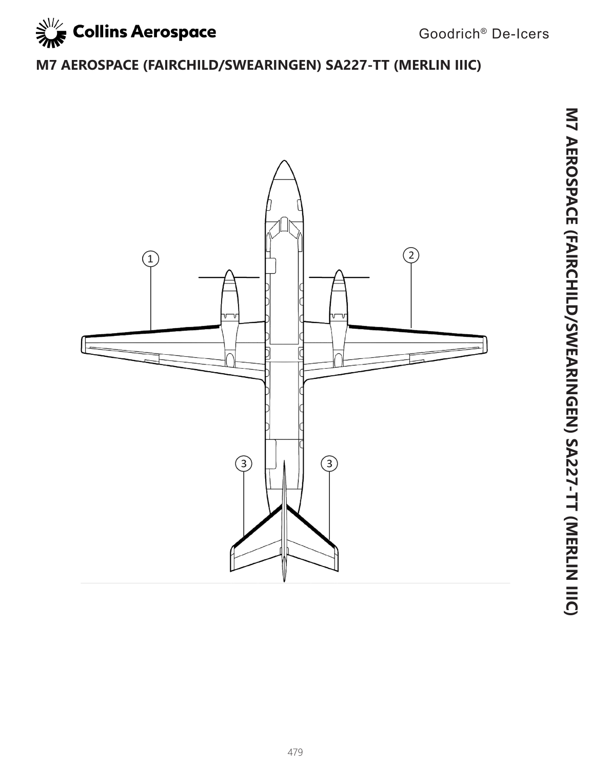

# **M7 AEROSPACE (FAIRCHILD/SWEARINGEN) SA227-TT (MERLIN IIIC)**

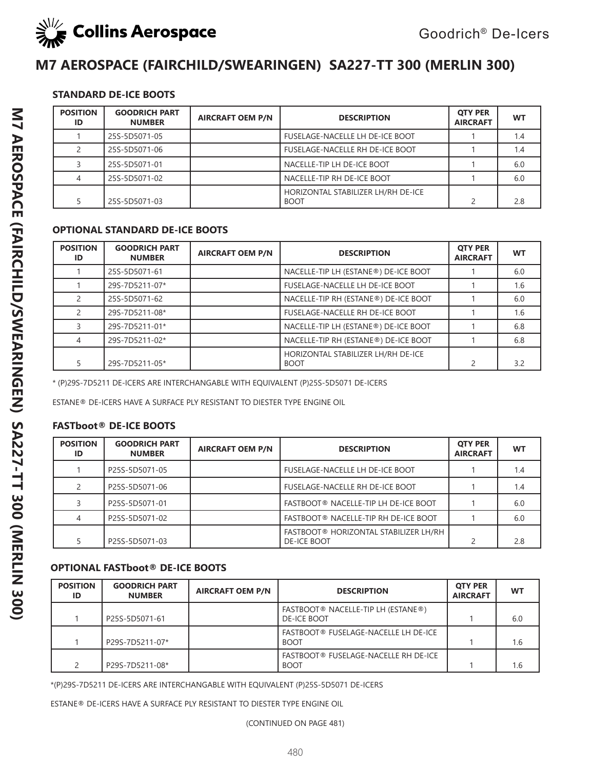

## **M7 AEROSPACE (FAIRCHILD/SWEARINGEN) SA227-TT 300 (MERLIN 300)**

### **STANDARD DE-ICE BOOTS**

| <b>POSITION</b><br>ID | <b>GOODRICH PART</b><br><b>NUMBER</b> | <b>AIRCRAFT OEM P/N</b> | <b>DESCRIPTION</b>                                | <b>OTY PER</b><br><b>AIRCRAFT</b> | <b>WT</b> |
|-----------------------|---------------------------------------|-------------------------|---------------------------------------------------|-----------------------------------|-----------|
|                       | 25S-5D5071-05                         |                         | <b>FUSELAGE-NACELLE LH DE-ICE BOOT</b>            |                                   | 1.4       |
|                       | 25S-5D5071-06                         |                         | <b>FUSELAGE-NACELLE RH DE-ICE BOOT</b>            |                                   | 1.4       |
|                       | 25S-5D5071-01                         |                         | NACELLE-TIP LH DE-ICE BOOT                        |                                   | 6.0       |
|                       | 25S-5D5071-02                         |                         | NACELLE-TIP RH DE-ICE BOOT                        |                                   | 6.0       |
|                       | 25S-5D5071-03                         |                         | HORIZONTAL STABILIZER LH/RH DE-ICE<br><b>BOOT</b> |                                   | 2.8       |

#### **OPTIONAL STANDARD DE-ICE BOOTS**

| <b>POSITION</b><br>ID | <b>GOODRICH PART</b><br><b>NUMBER</b> | <b>AIRCRAFT OEM P/N</b> | <b>DESCRIPTION</b>                                | <b>OTY PER</b><br><b>AIRCRAFT</b> | <b>WT</b> |
|-----------------------|---------------------------------------|-------------------------|---------------------------------------------------|-----------------------------------|-----------|
|                       | 25S-5D5071-61                         |                         | NACELLE-TIP LH (ESTANE®) DE-ICE BOOT              |                                   | 6.0       |
|                       | 29S-7D5211-07*                        |                         | FUSELAGE-NACELLE LH DE-ICE BOOT                   |                                   | 1.6       |
|                       | 25S-5D5071-62                         |                         | NACELLE-TIP RH (ESTANE®) DE-ICE BOOT              |                                   | 6.0       |
|                       | 29S-7D5211-08*                        |                         | FUSELAGE-NACELLE RH DE-ICE BOOT                   |                                   | 1.6       |
|                       | 29S-7D5211-01*                        |                         | NACELLE-TIP LH (ESTANE®) DE-ICE BOOT              |                                   | 6.8       |
|                       | 29S-7D5211-02*                        |                         | NACELLE-TIP RH (ESTANE®) DE-ICE BOOT              |                                   | 6.8       |
|                       | 29S-7D5211-05*                        |                         | HORIZONTAL STABILIZER LH/RH DE-ICE<br><b>BOOT</b> | $\mathfrak{D}$                    | 3.2       |

\* (P)29S-7D5211 DE-ICERS ARE INTERCHANGABLE WITH EQUIVALENT (P)25S-5D5071 DE-ICERS

ESTANE® DE-ICERS HAVE A SURFACE PLY RESISTANT TO DIESTER TYPE ENGINE OIL

### **FASTboot® DE-ICE BOOTS**

| <b>POSITION</b><br>ID | <b>GOODRICH PART</b><br><b>NUMBER</b> | <b>AIRCRAFT OEM P/N</b> | <b>DESCRIPTION</b>                                           | <b>OTY PER</b><br><b>AIRCRAFT</b> | WT  |
|-----------------------|---------------------------------------|-------------------------|--------------------------------------------------------------|-----------------------------------|-----|
|                       | P25S-5D5071-05                        |                         | <b>FUSELAGE-NACELLE LH DE-ICE BOOT</b>                       |                                   | 1.4 |
|                       | P25S-5D5071-06                        |                         | <b>FUSELAGE-NACELLE RH DE-ICE BOOT</b>                       |                                   | 1.4 |
|                       | P25S-5D5071-01                        |                         | FASTBOOT® NACELLE-TIP LH DE-ICE BOOT                         |                                   | 6.0 |
|                       | P25S-5D5071-02                        |                         | FASTBOOT® NACELLE-TIP RH DE-ICE BOOT                         |                                   | 6.0 |
|                       | P25S-5D5071-03                        |                         | FASTBOOT ® HORIZONTAL STABILIZER LH/RH<br><b>DE-ICE BOOT</b> |                                   | 2.8 |

### **OPTIONAL FASTboot® DE-ICE BOOTS**

| <b>POSITION</b><br>ID | <b>GOODRICH PART</b><br><b>NUMBER</b> | <b>AIRCRAFT OEM P/N</b> | <b>DESCRIPTION</b>                                       | <b>OTY PER</b><br><b>AIRCRAFT</b> | <b>WT</b> |
|-----------------------|---------------------------------------|-------------------------|----------------------------------------------------------|-----------------------------------|-----------|
|                       | P25S-5D5071-61                        |                         | FASTBOOT® NACELLE-TIP LH (ESTANE®)<br><b>DE-ICE BOOT</b> |                                   | 6.0       |
|                       | P29S-7D5211-07*                       |                         | FASTBOOT® FUSELAGE-NACELLE LH DE-ICE<br><b>BOOT</b>      |                                   | 1.6       |
|                       | P29S-7D5211-08*                       |                         | FASTBOOT® FUSELAGE-NACELLE RH DE-ICE<br><b>BOOT</b>      |                                   | 1.6       |

\*(P)29S-7D5211 DE-ICERS ARE INTERCHANGABLE WITH EQUIVALENT (P)25S-5D5071 DE-ICERS